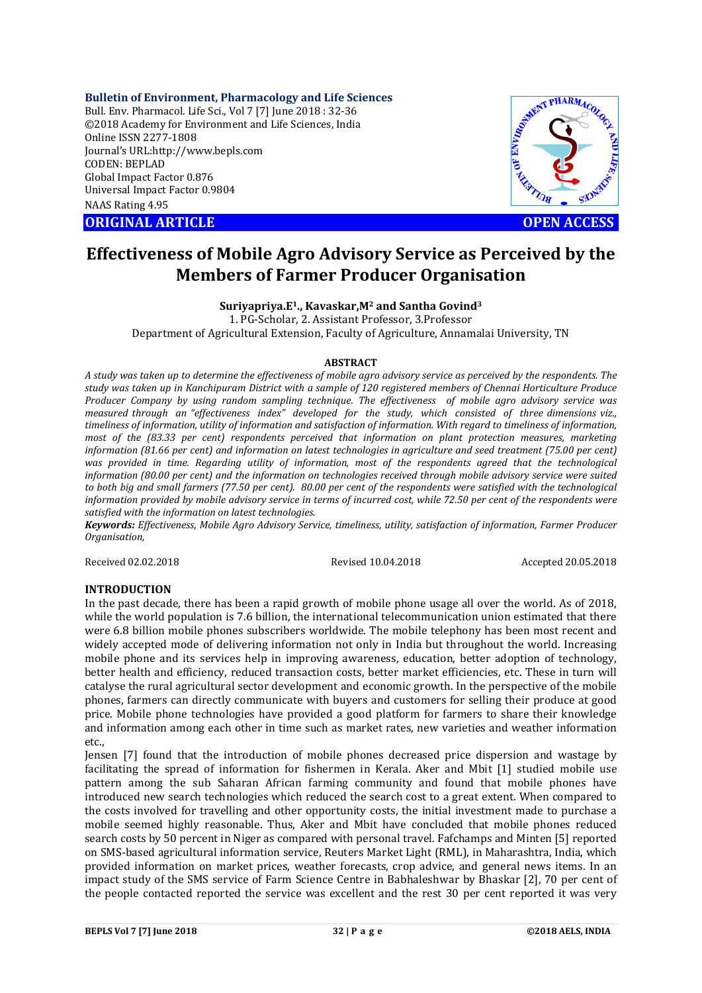**Bulletin of Environment, Pharmacology and Life Sciences**

Bull. Env. Pharmacol. Life Sci., Vol 7 [7] June 2018 : 32-36 ©2018 Academy for Environment and Life Sciences, India Online ISSN 2277-1808 Journal's URL:http://www.bepls.com CODEN: BEPLAD Global Impact Factor 0.876 Universal Impact Factor 0.9804 NAAS Rating 4.95 CONTRACT CONTRACT CONTRACT CONTRACT CONTRACT CONTRACT CONTRACT CONTRACT CONTRACT CONTRACT CONTRACT CONTRACT CONTRACT CONTRACT CONTRACT CONTRACT CONTRACT CONTRACT CONTRACT CONTRACT CONTRACT CONTRACT CONTRACT CONTRACT CONTRA



# **Effectiveness of Mobile Agro Advisory Service as Perceived by the Members of Farmer Producer Organisation**

**Suriyapriya.E1., Kavaskar,M2 and Santha Govind3**

1. PG-Scholar, 2. Assistant Professor, 3.Professor Department of Agricultural Extension, Faculty of Agriculture, Annamalai University, TN

### **ABSTRACT**

*A study was taken up to determine the effectiveness of mobile agro advisory service as perceived by the respondents. The study was taken up in Kanchipuram District with a sample of 120 registered members of Chennai Horticulture Produce Producer Company by using random sampling technique. The effectiveness of mobile agro advisory service was measured through an "effectiveness index" developed for the study, which consisted of three dimensions viz., timeliness of information, utility of information and satisfaction of information. With regard to timeliness of information, most of the (83.33 per cent) respondents perceived that information on plant protection measures, marketing information (81.66 per cent) and information on latest technologies in agriculture and seed treatment (75.00 per cent)*  was provided in time. Regarding utility of information, most of the respondents agreed that the technological *information (80.00 per cent) and the information on technologies received through mobile advisory service were suited to both big and small farmers (77.50 per cent). 80.00 per cent of the respondents were satisfied with the technological information provided by mobile advisory service in terms of incurred cost, while 72.50 per cent of the respondents were satisfied with the information on latest technologies.*

*Keywords: Effectiveness, Mobile Agro Advisory Service, timeliness, utility, satisfaction of information, Farmer Producer Organisation,*

Received 02.02.2018 Revised 10.04.2018 Accepted 20.05.2018

### **INTRODUCTION**

In the past decade, there has been a rapid growth of mobile phone usage all over the world. As of 2018, while the world population is 7.6 billion, the international telecommunication union estimated that there were 6.8 billion mobile phones subscribers worldwide. The mobile telephony has been most recent and widely accepted mode of delivering information not only in India but throughout the world. Increasing mobile phone and its services help in improving awareness, education, better adoption of technology, better health and efficiency, reduced transaction costs, better market efficiencies, etc. These in turn will catalyse the rural agricultural sector development and economic growth. In the perspective of the mobile phones, farmers can directly communicate with buyers and customers for selling their produce at good price. Mobile phone technologies have provided a good platform for farmers to share their knowledge and information among each other in time such as market rates, new varieties and weather information etc.,

Jensen [7] found that the introduction of mobile phones decreased price dispersion and wastage by facilitating the spread of information for fishermen in Kerala. Aker and Mbit [1] studied mobile use pattern among the sub Saharan African farming community and found that mobile phones have introduced new search technologies which reduced the search cost to a great extent. When compared to the costs involved for travelling and other opportunity costs, the initial investment made to purchase a mobile seemed highly reasonable. Thus, Aker and Mbit have concluded that mobile phones reduced search costs by 50 percent in Niger as compared with personal travel. Fafchamps and Minten [5] reported on SMS-based agricultural information service, Reuters Market Light (RML), in Maharashtra, India, which provided information on market prices, weather forecasts, crop advice, and general news items. In an impact study of the SMS service of Farm Science Centre in Babhaleshwar by Bhaskar [2], 70 per cent of the people contacted reported the service was excellent and the rest 30 per cent reported it was very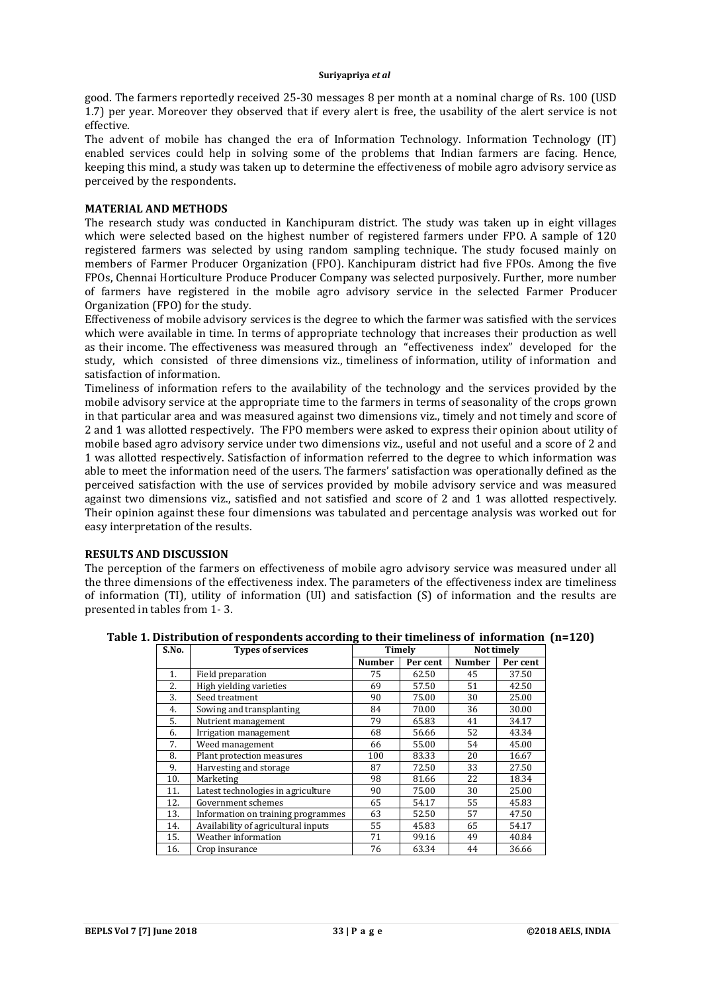good. The farmers reportedly received 25-30 messages 8 per month at a nominal charge of Rs. 100 (USD 1.7) per year. Moreover they observed that if every alert is free, the usability of the alert service is not effective.

The advent of mobile has changed the era of Information Technology. Information Technology (IT) enabled services could help in solving some of the problems that Indian farmers are facing. Hence, keeping this mind, a study was taken up to determine the effectiveness of mobile agro advisory service as perceived by the respondents.

# **MATERIAL AND METHODS**

The research study was conducted in Kanchipuram district. The study was taken up in eight villages which were selected based on the highest number of registered farmers under FPO. A sample of 120 registered farmers was selected by using random sampling technique. The study focused mainly on members of Farmer Producer Organization (FPO). Kanchipuram district had five FPOs. Among the five FPOs, Chennai Horticulture Produce Producer Company was selected purposively. Further, more number of farmers have registered in the mobile agro advisory service in the selected Farmer Producer Organization (FPO) for the study.

Effectiveness of mobile advisory services is the degree to which the farmer was satisfied with the services which were available in time. In terms of appropriate technology that increases their production as well as their income. The effectiveness was measured through an "effectiveness index" developed for the study, which consisted of three dimensions viz., timeliness of information, utility of information and satisfaction of information.

Timeliness of information refers to the availability of the technology and the services provided by the mobile advisory service at the appropriate time to the farmers in terms of seasonality of the crops grown in that particular area and was measured against two dimensions viz., timely and not timely and score of 2 and 1 was allotted respectively. The FPO members were asked to express their opinion about utility of mobile based agro advisory service under two dimensions viz., useful and not useful and a score of 2 and 1 was allotted respectively. Satisfaction of information referred to the degree to which information was able to meet the information need of the users. The farmers' satisfaction was operationally defined as the perceived satisfaction with the use of services provided by mobile advisory service and was measured against two dimensions viz., satisfied and not satisfied and score of 2 and 1 was allotted respectively. Their opinion against these four dimensions was tabulated and percentage analysis was worked out for easy interpretation of the results.

# **RESULTS AND DISCUSSION**

The perception of the farmers on effectiveness of mobile agro advisory service was measured under all the three dimensions of the effectiveness index. The parameters of the effectiveness index are timeliness of information (TI), utility of information (UI) and satisfaction (S) of information and the results are presented in tables from 1- 3.

| S.No. | <b>Types of services</b>            | Timely        |          | Not timely    |          |
|-------|-------------------------------------|---------------|----------|---------------|----------|
|       |                                     | <b>Number</b> | Per cent | <b>Number</b> | Per cent |
| 1.    | Field preparation                   | 75            | 62.50    | 45            | 37.50    |
| 2.    | High yielding varieties             | 69            | 57.50    | 51            | 42.50    |
| 3.    | Seed treatment                      | 90            | 75.00    | 30            | 25.00    |
| 4.    | Sowing and transplanting            | 84            | 70.00    | 36            | 30.00    |
| 5.    | Nutrient management                 | 79            | 65.83    | 41            | 34.17    |
| 6.    | Irrigation management               | 68            | 56.66    | 52            | 43.34    |
| 7.    | Weed management                     | 66            | 55.00    | 54            | 45.00    |
| 8.    | Plant protection measures           | 100           | 83.33    | 20            | 16.67    |
| 9.    | Harvesting and storage              | 87            | 72.50    | 33            | 27.50    |
| 10.   | Marketing                           | 98            | 81.66    | 22            | 18.34    |
| 11.   | Latest technologies in agriculture  | 90            | 75.00    | 30            | 25.00    |
| 12.   | Government schemes                  | 65            | 54.17    | 55            | 45.83    |
| 13.   | Information on training programmes  | 63            | 52.50    | 57            | 47.50    |
| 14.   | Availability of agricultural inputs | 55            | 45.83    | 65            | 54.17    |
| 15.   | Weather information                 | 71            | 99.16    | 49            | 40.84    |
| 16.   | Crop insurance                      | 76            | 63.34    | 44            | 36.66    |

**Table 1. Distribution of respondents according to their timeliness of information (n=120)**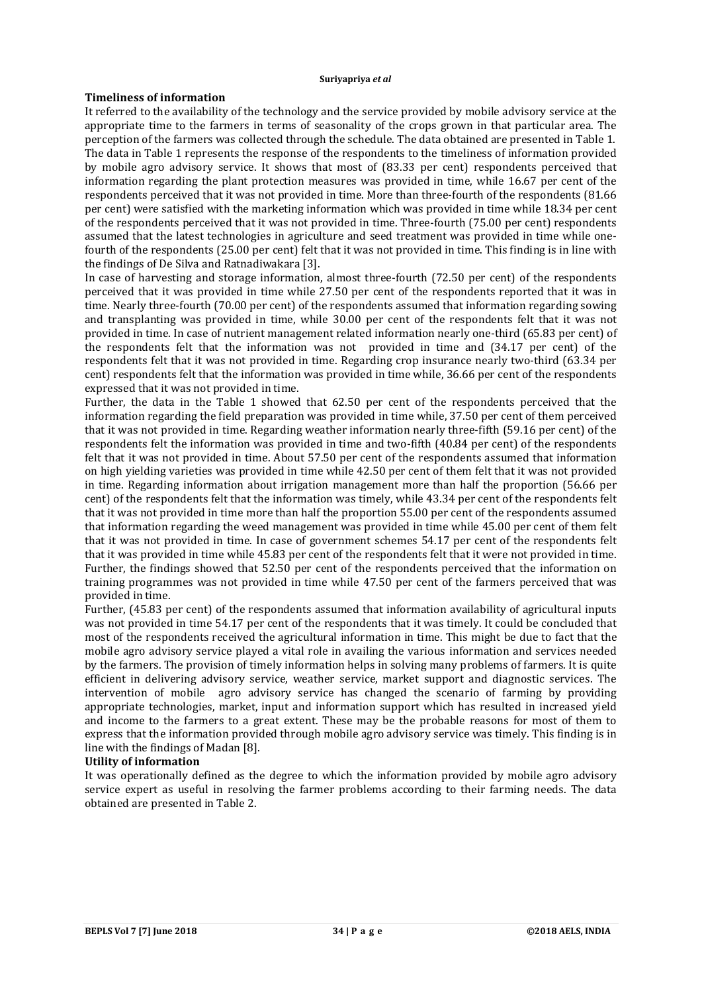# **Timeliness of information**

It referred to the availability of the technology and the service provided by mobile advisory service at the appropriate time to the farmers in terms of seasonality of the crops grown in that particular area. The perception of the farmers was collected through the schedule. The data obtained are presented in Table 1. The data in Table 1 represents the response of the respondents to the timeliness of information provided by mobile agro advisory service. It shows that most of (83.33 per cent) respondents perceived that information regarding the plant protection measures was provided in time, while 16.67 per cent of the respondents perceived that it was not provided in time. More than three-fourth of the respondents (81.66 per cent) were satisfied with the marketing information which was provided in time while 18.34 per cent of the respondents perceived that it was not provided in time. Three-fourth (75.00 per cent) respondents assumed that the latest technologies in agriculture and seed treatment was provided in time while onefourth of the respondents (25.00 per cent) felt that it was not provided in time. This finding is in line with the findings of De Silva and Ratnadiwakara [3].

In case of harvesting and storage information, almost three-fourth (72.50 per cent) of the respondents perceived that it was provided in time while 27.50 per cent of the respondents reported that it was in time. Nearly three-fourth (70.00 per cent) of the respondents assumed that information regarding sowing and transplanting was provided in time, while 30.00 per cent of the respondents felt that it was not provided in time. In case of nutrient management related information nearly one-third (65.83 per cent) of the respondents felt that the information was not provided in time and (34.17 per cent) of the respondents felt that it was not provided in time. Regarding crop insurance nearly two-third (63.34 per cent) respondents felt that the information was provided in time while, 36.66 per cent of the respondents expressed that it was not provided in time.

Further, the data in the Table 1 showed that 62.50 per cent of the respondents perceived that the information regarding the field preparation was provided in time while, 37.50 per cent of them perceived that it was not provided in time. Regarding weather information nearly three-fifth (59.16 per cent) of the respondents felt the information was provided in time and two-fifth (40.84 per cent) of the respondents felt that it was not provided in time. About 57.50 per cent of the respondents assumed that information on high yielding varieties was provided in time while 42.50 per cent of them felt that it was not provided in time. Regarding information about irrigation management more than half the proportion (56.66 per cent) of the respondents felt that the information was timely, while 43.34 per cent of the respondents felt that it was not provided in time more than half the proportion 55.00 per cent of the respondents assumed that information regarding the weed management was provided in time while 45.00 per cent of them felt that it was not provided in time. In case of government schemes 54.17 per cent of the respondents felt that it was provided in time while 45.83 per cent of the respondents felt that it were not provided in time. Further, the findings showed that 52.50 per cent of the respondents perceived that the information on training programmes was not provided in time while 47.50 per cent of the farmers perceived that was provided in time.

Further, (45.83 per cent) of the respondents assumed that information availability of agricultural inputs was not provided in time 54.17 per cent of the respondents that it was timely. It could be concluded that most of the respondents received the agricultural information in time. This might be due to fact that the mobile agro advisory service played a vital role in availing the various information and services needed by the farmers. The provision of timely information helps in solving many problems of farmers. It is quite efficient in delivering advisory service, weather service, market support and diagnostic services. The intervention of mobile agro advisory service has changed the scenario of farming by providing appropriate technologies, market, input and information support which has resulted in increased yield and income to the farmers to a great extent. These may be the probable reasons for most of them to express that the information provided through mobile agro advisory service was timely. This finding is in line with the findings of Madan [8].

# **Utility of information**

It was operationally defined as the degree to which the information provided by mobile agro advisory service expert as useful in resolving the farmer problems according to their farming needs. The data obtained are presented in Table 2.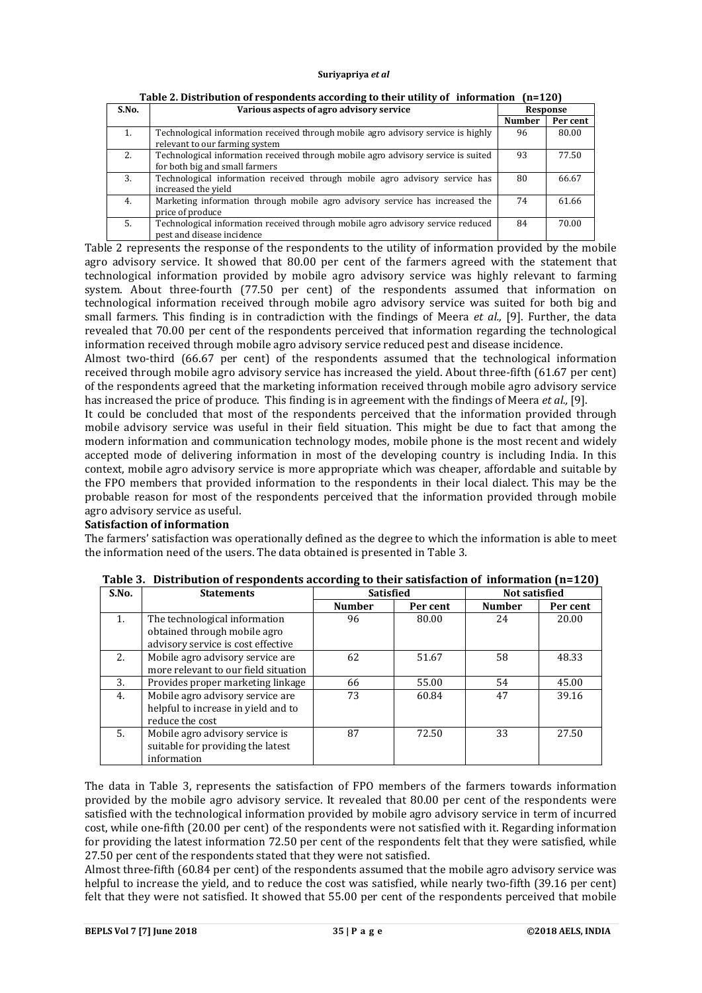| S.No. | Various aspects of agro advisory service                                          | Response      |          |
|-------|-----------------------------------------------------------------------------------|---------------|----------|
|       |                                                                                   | <b>Number</b> | Per cent |
| 1.    | Technological information received through mobile agro advisory service is highly | 96            | 80.00    |
|       | relevant to our farming system                                                    |               |          |
| 2.    | Technological information received through mobile agro advisory service is suited | 93            | 77.50    |
|       | for both big and small farmers                                                    |               |          |
| 3.    | Technological information received through mobile agro advisory service has       | 80            | 66.67    |
|       | increased the yield                                                               |               |          |
| 4.    | Marketing information through mobile agro advisory service has increased the      | 74            | 61.66    |
|       | price of produce                                                                  |               |          |
| .5.   | Technological information received through mobile agro advisory service reduced   | 84            | 70.00    |
|       | pest and disease incidence                                                        |               |          |

**Table 2. Distribution of respondents according to their utility of information (n=120)**

Table 2 represents the response of the respondents to the utility of information provided by the mobile agro advisory service. It showed that 80.00 per cent of the farmers agreed with the statement that technological information provided by mobile agro advisory service was highly relevant to farming system. About three-fourth (77.50 per cent) of the respondents assumed that information on technological information received through mobile agro advisory service was suited for both big and small farmers. This finding is in contradiction with the findings of Meera *et al.,* [9]. Further, the data revealed that 70.00 per cent of the respondents perceived that information regarding the technological information received through mobile agro advisory service reduced pest and disease incidence.

Almost two-third (66.67 per cent) of the respondents assumed that the technological information received through mobile agro advisory service has increased the yield. About three-fifth (61.67 per cent) of the respondents agreed that the marketing information received through mobile agro advisory service has increased the price of produce. This finding is in agreement with the findings of Meera *et al.,* [9].

It could be concluded that most of the respondents perceived that the information provided through mobile advisory service was useful in their field situation. This might be due to fact that among the modern information and communication technology modes, mobile phone is the most recent and widely accepted mode of delivering information in most of the developing country is including India. In this context, mobile agro advisory service is more appropriate which was cheaper, affordable and suitable by the FPO members that provided information to the respondents in their local dialect. This may be the probable reason for most of the respondents perceived that the information provided through mobile agro advisory service as useful.

# **Satisfaction of information**

The farmers' satisfaction was operationally defined as the degree to which the information is able to meet the information need of the users. The data obtained is presented in Table 3.

| S.No. | <b>Statements</b>                                                                                   | <b>Satisfied</b> |          | <b>Not satisfied</b> |          |
|-------|-----------------------------------------------------------------------------------------------------|------------------|----------|----------------------|----------|
|       |                                                                                                     | <b>Number</b>    | Per cent | <b>Number</b>        | Per cent |
| 1.    | The technological information<br>obtained through mobile agro<br>advisory service is cost effective | 96               | 80.00    | 24                   | 20.00    |
| 2.    | Mobile agro advisory service are<br>more relevant to our field situation                            | 62               | 51.67    | 58                   | 48.33    |
| 3.    | Provides proper marketing linkage                                                                   | 66               | 55.00    | 54                   | 45.00    |
| 4.    | Mobile agro advisory service are<br>helpful to increase in yield and to<br>reduce the cost          | 73               | 60.84    | 47                   | 39.16    |
| 5.    | Mobile agro advisory service is<br>suitable for providing the latest<br>information                 | 87               | 72.50    | 33                   | 27.50    |

|  |  | Table 3. Distribution of respondents according to their satisfaction of information (n=120) |  |  |  |
|--|--|---------------------------------------------------------------------------------------------|--|--|--|
|--|--|---------------------------------------------------------------------------------------------|--|--|--|

The data in Table 3, represents the satisfaction of FPO members of the farmers towards information provided by the mobile agro advisory service. It revealed that 80.00 per cent of the respondents were satisfied with the technological information provided by mobile agro advisory service in term of incurred cost, while one-fifth (20.00 per cent) of the respondents were not satisfied with it. Regarding information for providing the latest information 72.50 per cent of the respondents felt that they were satisfied, while 27.50 per cent of the respondents stated that they were not satisfied.

Almost three-fifth (60.84 per cent) of the respondents assumed that the mobile agro advisory service was helpful to increase the yield, and to reduce the cost was satisfied, while nearly two-fifth (39.16 per cent) felt that they were not satisfied. It showed that 55.00 per cent of the respondents perceived that mobile